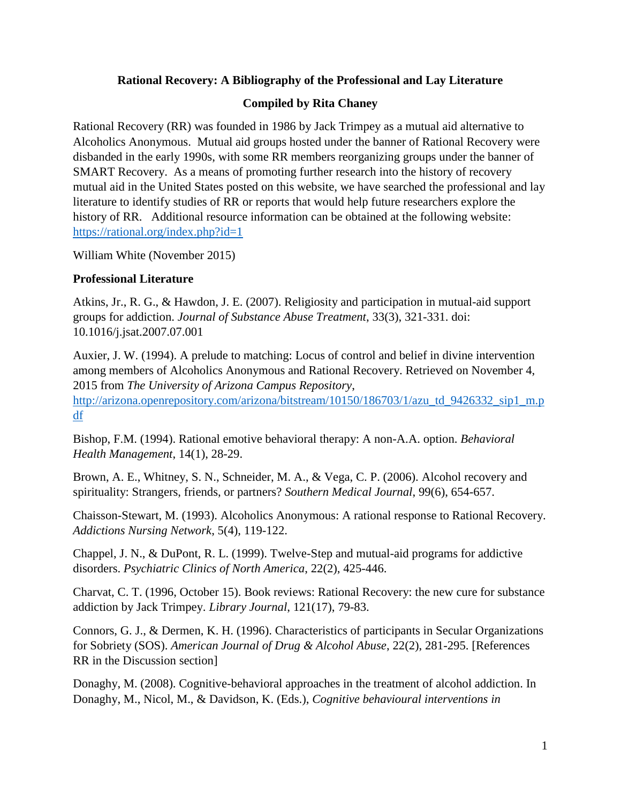## **Rational Recovery: A Bibliography of the Professional and Lay Literature**

## **Compiled by Rita Chaney**

Rational Recovery (RR) was founded in 1986 by Jack Trimpey as a mutual aid alternative to Alcoholics Anonymous. Mutual aid groups hosted under the banner of Rational Recovery were disbanded in the early 1990s, with some RR members reorganizing groups under the banner of SMART Recovery. As a means of promoting further research into the history of recovery mutual aid in the United States posted on this website, we have searched the professional and lay literature to identify studies of RR or reports that would help future researchers explore the history of RR. Additional resource information can be obtained at the following website: <https://rational.org/index.php?id=1>

William White (November 2015)

## **Professional Literature**

Atkins, Jr., R. G., & Hawdon, J. E. (2007). Religiosity and participation in mutual-aid support groups for addiction. *Journal of Substance Abuse Treatment*, 33(3), 321-331. doi: 10.1016/j.jsat.2007.07.001

Auxier, J. W. (1994). A prelude to matching: Locus of control and belief in divine intervention among members of Alcoholics Anonymous and Rational Recovery. Retrieved on November 4, 2015 from *The University of Arizona Campus Repository*,

[http://arizona.openrepository.com/arizona/bitstream/10150/186703/1/azu\\_td\\_9426332\\_sip1\\_m.p](http://arizona.openrepository.com/arizona/bitstream/10150/186703/1/azu_td_9426332_sip1_m.pdf) [df](http://arizona.openrepository.com/arizona/bitstream/10150/186703/1/azu_td_9426332_sip1_m.pdf)

Bishop, F.M. (1994). Rational emotive behavioral therapy: A non-A.A. option. *Behavioral Health Management*, 14(1), 28-29.

Brown, A. E., Whitney, S. N., Schneider, M. A., & Vega, C. P. (2006). Alcohol recovery and spirituality: Strangers, friends, or partners? *Southern Medical Journal*, 99(6), 654-657.

Chaisson-Stewart, M. (1993). Alcoholics Anonymous: A rational response to Rational Recovery. *Addictions Nursing Network*, 5(4), 119-122.

Chappel, J. N., & DuPont, R. L. (1999). Twelve-Step and mutual-aid programs for addictive disorders. *Psychiatric Clinics of North America*, 22(2), 425-446.

Charvat, C. T. (1996, October 15). Book reviews: Rational Recovery: the new cure for substance addiction by Jack Trimpey. *Library Journal*, 121(17), 79-83.

Connors, G. J., & Dermen, K. H. (1996). Characteristics of participants in Secular Organizations for Sobriety (SOS). *American Journal of Drug & Alcohol Abuse*, 22(2), 281-295. [References RR in the Discussion section]

Donaghy, M. (2008). Cognitive-behavioral approaches in the treatment of alcohol addiction. In Donaghy, M., Nicol, M., & Davidson, K. (Eds.), *Cognitive behavioural interventions in*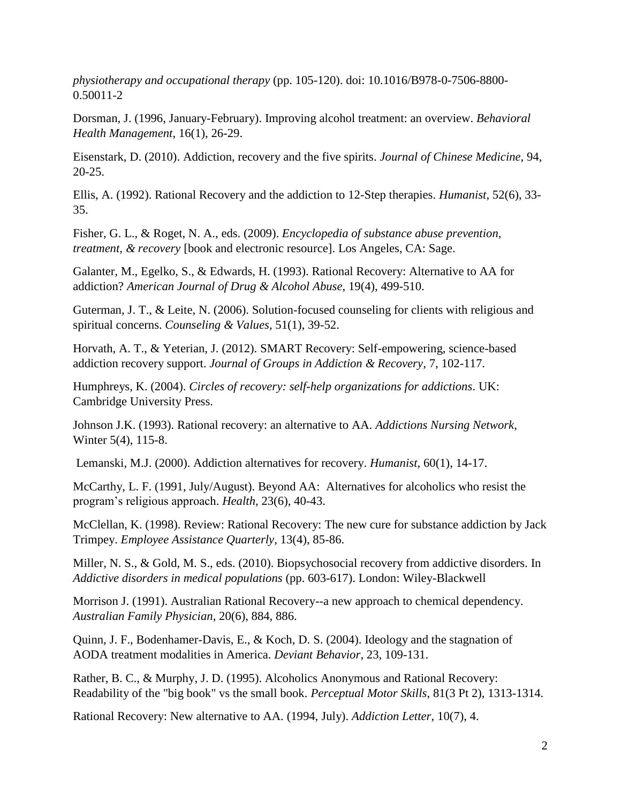*physiotherapy and occupational therapy* (pp. 105-120). doi: 10.1016/B978-0-7506-8800- 0.50011-2

Dorsman, J. (1996, January-February). Improving alcohol treatment: an overview. *Behavioral Health Management*, 16(1), 26-29.

Eisenstark, D. (2010). Addiction, recovery and the five spirits. *Journal of Chinese Medicine*, 94, 20-25.

Ellis, A. (1992). Rational Recovery and the addiction to 12-Step therapies. *Humanist*, 52(6), 33- 35.

Fisher, G. L., & Roget, N. A., eds. (2009). *Encyclopedia of substance abuse prevention, treatment, & recovery* [book and electronic resource]. Los Angeles, CA: Sage.

Galanter, M., Egelko, S., & Edwards, H. (1993). Rational Recovery: Alternative to AA for addiction? *American Journal of Drug & Alcohol Abuse*, 19(4), 499-510.

Guterman, J. T., & Leite, N. (2006). Solution-focused counseling for clients with religious and spiritual concerns. *Counseling & Values*, 51(1), 39-52.

Horvath, A. T., & Yeterian, J. (2012). SMART Recovery: Self-empowering, science-based addiction recovery support. *Journal of Groups in Addiction & Recovery*, 7, 102-117.

Humphreys, K. (2004). *Circles of recovery: self-help organizations for addictions*. UK: Cambridge University Press.

Johnson J.K. (1993). Rational recovery: an alternative to AA. *Addictions Nursing Network*, Winter 5(4), 115-8.

Lemanski, M.J. (2000). Addiction alternatives for recovery. *Humanist*, 60(1), 14-17.

McCarthy, L. F. (1991, July/August). Beyond AA: Alternatives for alcoholics who resist the program's religious approach. *Health*, 23(6), 40-43.

McClellan, K. (1998). Review: Rational Recovery: The new cure for substance addiction by Jack Trimpey. *Employee Assistance Quarterly*, 13(4), 85-86.

Miller, N. S., & Gold, M. S., eds. (2010). Biopsychosocial recovery from addictive disorders. In *Addictive disorders in medical populations* (pp. 603-617). London: Wiley-Blackwell

Morrison J. (1991). Australian Rational Recovery--a new approach to chemical dependency. *Australian Family Physician*, 20(6), 884, 886.

Quinn, J. F., Bodenhamer-Davis, E., & Koch, D. S. (2004). Ideology and the stagnation of AODA treatment modalities in America. *Deviant Behavior*, 23, 109-131.

Rather, B. C., & Murphy, J. D. (1995). Alcoholics Anonymous and Rational Recovery: Readability of the "big book" vs the small book. *Perceptual Motor Skills*, 81(3 Pt 2), 1313-1314.

Rational Recovery: New alternative to AA. (1994, July). *Addiction Letter*, 10(7), 4.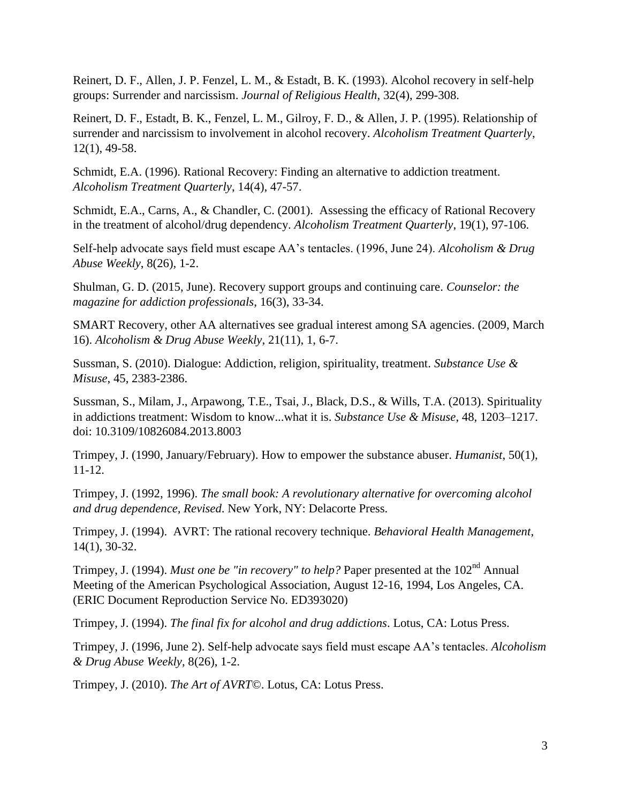Reinert, D. F., Allen, J. P. Fenzel, L. M., & Estadt, B. K. (1993). Alcohol recovery in self-help groups: Surrender and narcissism. *Journal of Religious Health*, 32(4), 299-308.

Reinert, D. F., Estadt, B. K., Fenzel, L. M., Gilroy, F. D., & Allen, J. P. (1995). Relationship of surrender and narcissism to involvement in alcohol recovery. *Alcoholism Treatment Quarterly*, 12(1), 49-58.

Schmidt, E.A. (1996). Rational Recovery: Finding an alternative to addiction treatment. *Alcoholism Treatment Quarterly*, 14(4), 47-57.

Schmidt, E.A., Carns, A., & Chandler, C. (2001). Assessing the efficacy of Rational Recovery in the treatment of alcohol/drug dependency. *Alcoholism Treatment Quarterly*, 19(1), 97-106.

Self-help advocate says field must escape AA's tentacles. (1996, June 24). *Alcoholism & Drug Abuse Weekly*, 8(26), 1-2.

Shulman, G. D. (2015, June). Recovery support groups and continuing care. *Counselor: the magazine for addiction professionals*, 16(3), 33-34.

SMART Recovery, other AA alternatives see gradual interest among SA agencies. (2009, March 16). *Alcoholism & Drug Abuse Weekly*, 21(11), 1, 6-7.

Sussman, S. (2010). Dialogue: Addiction, religion, spirituality, treatment. *Substance Use & Misuse*, 45, 2383-2386.

Sussman, S., Milam, J., Arpawong, T.E., Tsai, J., Black, D.S., & Wills, T.A. (2013). Spirituality in addictions treatment: Wisdom to know...what it is. *Substance Use & Misuse*, 48, 1203–1217. doi: 10.3109/10826084.2013.8003

Trimpey, J. (1990, January/February). How to empower the substance abuser. *Humanist*, 50(1), 11-12.

Trimpey, J. (1992, 1996). *The small book: A revolutionary alternative for overcoming alcohol and drug dependence, Revised*. New York, NY: Delacorte Press.

Trimpey, J. (1994). AVRT: The rational recovery technique. *Behavioral Health Management*, 14(1), 30-32.

Trimpey, J. (1994). *Must one be "in recovery" to help*? Paper presented at the 102<sup>nd</sup> Annual Meeting of the American Psychological Association, August 12-16, 1994, Los Angeles, CA. (ERIC Document Reproduction Service No. ED393020)

Trimpey, J. (1994). *The final fix for alcohol and drug addictions*. Lotus, CA: Lotus Press.

Trimpey, J. (1996, June 2). Self-help advocate says field must escape AA's tentacles. *Alcoholism & Drug Abuse Weekly*, 8(26), 1-2.

Trimpey, J. (2010). *The Art of AVRT©*. Lotus, CA: Lotus Press.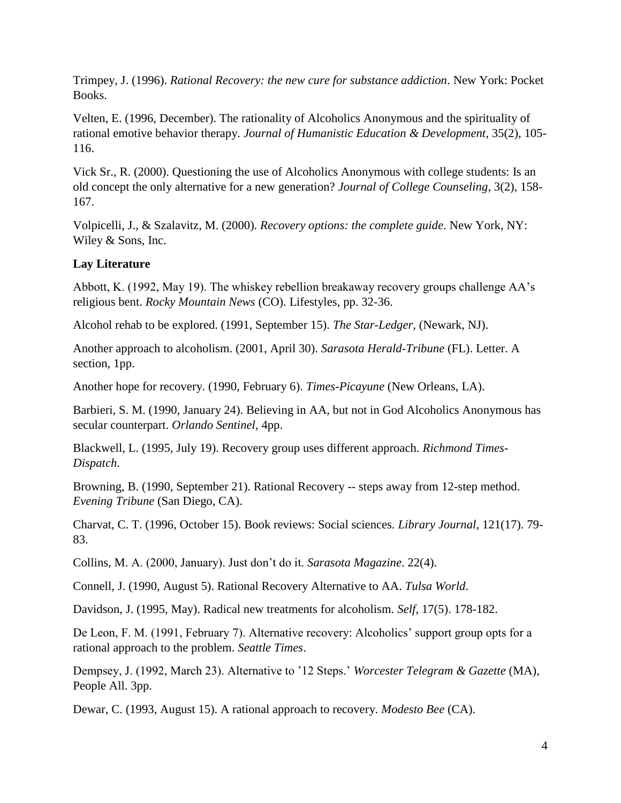Trimpey, J. (1996). *Rational Recovery: the new cure for substance addiction*. New York: Pocket Books.

Velten, E. (1996, December). The rationality of Alcoholics Anonymous and the spirituality of rational emotive behavior therapy. *Journal of Humanistic Education & Development*, 35(2), 105- 116.

Vick Sr., R. (2000). Questioning the use of Alcoholics Anonymous with college students: Is an old concept the only alternative for a new generation? *Journal of College Counseling*, 3(2), 158- 167.

Volpicelli, J., & Szalavitz, M. (2000). *Recovery options: the complete guide*. New York, NY: Wiley & Sons, Inc.

## **Lay Literature**

Abbott, K. (1992, May 19). The whiskey rebellion breakaway recovery groups challenge AA's religious bent. *Rocky Mountain News* (CO). Lifestyles, pp. 32-36.

Alcohol rehab to be explored. (1991, September 15). *The Star-Ledger,* (Newark, NJ).

Another approach to alcoholism. (2001, April 30). *Sarasota Herald-Tribune* (FL). Letter. A section, 1pp.

Another hope for recovery. (1990, February 6). *Times-Picayune* (New Orleans, LA).

Barbieri, S. M. (1990, January 24). Believing in AA, but not in God Alcoholics Anonymous has secular counterpart. *Orlando Sentinel*, 4pp.

Blackwell, L. (1995, July 19). Recovery group uses different approach. *Richmond Times-Dispatch*.

Browning, B. (1990, September 21). Rational Recovery -- steps away from 12-step method. *Evening Tribune* (San Diego, CA).

Charvat, C. T. (1996, October 15). Book reviews: Social sciences. *Library Journal*, 121(17). 79- 83.

Collins, M. A. (2000, January). Just don't do it. *Sarasota Magazine*. 22(4).

Connell, J. (1990, August 5). Rational Recovery Alternative to AA. *Tulsa World*.

Davidson, J. (1995, May). Radical new treatments for alcoholism. *Self*, 17(5). 178-182.

De Leon, F. M. (1991, February 7). Alternative recovery: Alcoholics' support group opts for a rational approach to the problem. *Seattle Times*.

Dempsey, J. (1992, March 23). Alternative to '12 Steps.' *Worcester Telegram & Gazette* (MA), People All. 3pp.

Dewar, C. (1993, August 15). A rational approach to recovery. *Modesto Bee* (CA).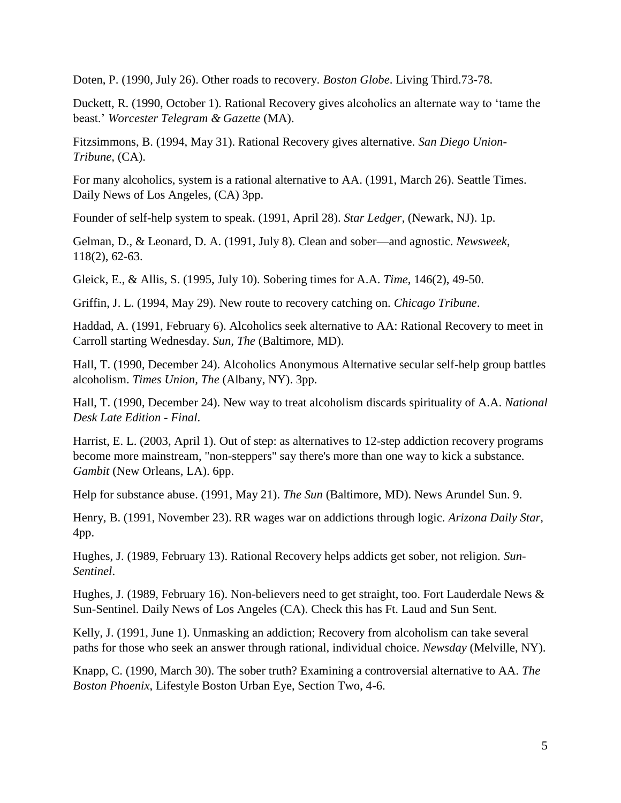Doten, P. (1990, July 26). Other roads to recovery. *Boston Globe*. Living Third.73-78.

Duckett, R. (1990, October 1). Rational Recovery gives alcoholics an alternate way to 'tame the beast.' *Worcester Telegram & Gazette* (MA).

Fitzsimmons, B. (1994, May 31). Rational Recovery gives alternative. *San Diego Union-Tribune,* (CA).

For many alcoholics, system is a rational alternative to AA. (1991, March 26). Seattle Times. Daily News of Los Angeles, (CA) 3pp.

Founder of self-help system to speak. (1991, April 28). *Star Ledger,* (Newark, NJ). 1p.

Gelman, D., & Leonard, D. A. (1991, July 8). Clean and sober—and agnostic. *Newsweek*, 118(2), 62-63.

Gleick, E., & Allis, S. (1995, July 10). Sobering times for A.A. *Time*, 146(2), 49-50.

Griffin, J. L. (1994, May 29). New route to recovery catching on. *Chicago Tribune*.

Haddad, A. (1991, February 6). Alcoholics seek alternative to AA: Rational Recovery to meet in Carroll starting Wednesday. *Sun, The* (Baltimore, MD).

Hall, T. (1990, December 24). Alcoholics Anonymous Alternative secular self-help group battles alcoholism. *Times Union, The* (Albany, NY). 3pp.

Hall, T. (1990, December 24). New way to treat alcoholism discards spirituality of A.A. *National Desk Late Edition - Final*.

Harrist, E. L. (2003, April 1). Out of step: as alternatives to 12-step addiction recovery programs become more mainstream, "non-steppers" say there's more than one way to kick a substance. *Gambit* (New Orleans, LA). 6pp.

Help for substance abuse. (1991, May 21). *The Sun* (Baltimore, MD). News Arundel Sun. 9.

Henry, B. (1991, November 23). RR wages war on addictions through logic. *Arizona Daily Star,*  4pp.

Hughes, J. (1989, February 13). Rational Recovery helps addicts get sober, not religion. *Sun-Sentinel*.

Hughes, J. (1989, February 16). Non-believers need to get straight, too. Fort Lauderdale News & Sun-Sentinel. Daily News of Los Angeles (CA). Check this has Ft. Laud and Sun Sent.

Kelly, J. (1991, June 1). Unmasking an addiction; Recovery from alcoholism can take several paths for those who seek an answer through rational, individual choice. *Newsday* (Melville, NY).

Knapp, C. (1990, March 30). The sober truth? Examining a controversial alternative to AA. *The Boston Phoenix*, Lifestyle Boston Urban Eye, Section Two, 4-6.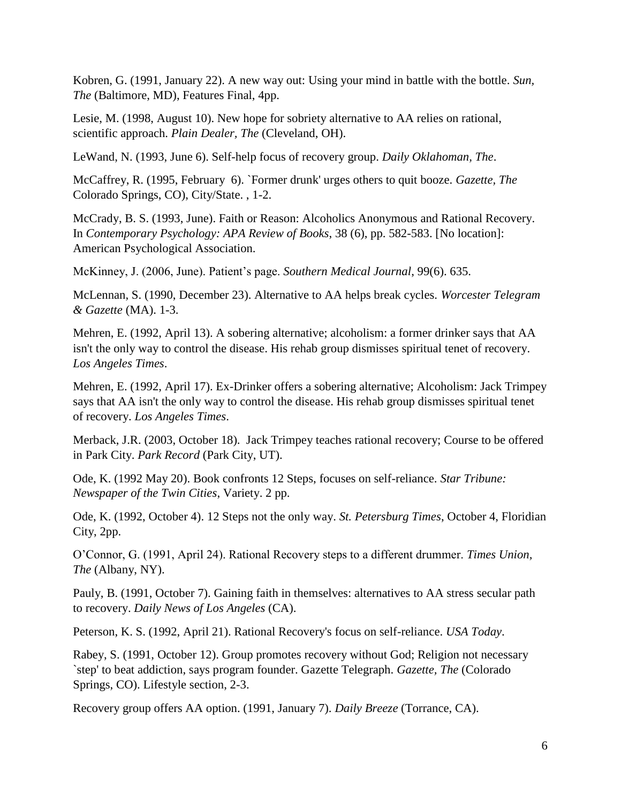Kobren, G. (1991, January 22). A new way out: Using your mind in battle with the bottle. *Sun, The* (Baltimore, MD), Features Final, 4pp.

Lesie, M. (1998, August 10). New hope for sobriety alternative to AA relies on rational, scientific approach. *Plain Dealer, The* (Cleveland, OH).

LeWand, N. (1993, June 6). Self-help focus of recovery group. *Daily Oklahoman, The*.

McCaffrey, R. (1995, February 6). `Former drunk' urges others to quit booze. *Gazette, The* Colorado Springs, CO), City/State. , 1-2.

McCrady, B. S. (1993, June). Faith or Reason: Alcoholics Anonymous and Rational Recovery. In *Contemporary Psychology: APA Review of Books*, 38 (6), pp. 582-583. [No location]: American Psychological Association.

McKinney, J. (2006, June). Patient's page. *Southern Medical Journal*, 99(6). 635.

McLennan, S. (1990, December 23). Alternative to AA helps break cycles. *Worcester Telegram & Gazette* (MA). 1-3.

Mehren, E. (1992, April 13). A sobering alternative; alcoholism: a former drinker says that AA isn't the only way to control the disease. His rehab group dismisses spiritual tenet of recovery. *Los Angeles Times*.

Mehren, E. (1992, April 17). Ex-Drinker offers a sobering alternative; Alcoholism: Jack Trimpey says that AA isn't the only way to control the disease. His rehab group dismisses spiritual tenet of recovery. *Los Angeles Times*.

Merback, J.R. (2003, October 18). Jack Trimpey teaches rational recovery; Course to be offered in Park City. *Park Record* (Park City, UT).

Ode, K. (1992 May 20). Book confronts 12 Steps, focuses on self-reliance. *Star Tribune: Newspaper of the Twin Cities*, Variety. 2 pp.

Ode, K. (1992, October 4). 12 Steps not the only way. *St. Petersburg Times*, October 4, Floridian City, 2pp.

O'Connor, G. (1991, April 24). Rational Recovery steps to a different drummer. *Times Union, The* (Albany, NY).

Pauly, B. (1991, October 7). Gaining faith in themselves: alternatives to AA stress secular path to recovery. *Daily News of Los Angeles* (CA).

Peterson, K. S. (1992, April 21). Rational Recovery's focus on self-reliance. *USA Today*.

Rabey, S. (1991, October 12). Group promotes recovery without God; Religion not necessary `step' to beat addiction, says program founder. Gazette Telegraph. *Gazette, The* (Colorado Springs, CO). Lifestyle section, 2-3.

Recovery group offers AA option. (1991, January 7). *Daily Breeze* (Torrance, CA).